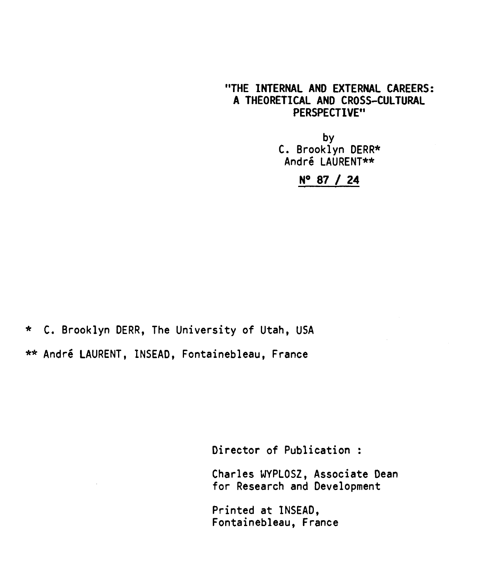#### **"THE INTERNAL AND EXTERNAL CAREERS: A THEORETICAL AND CROSS—CULTURAL PERSPECTIVE"**

by C. Brooklyn DERR\* André LAURENT\*\*

## **N° 87 / 24**

**\*** C. Brooklyn DERR, The University of Utah, USA \*\* André LAURENT, INSEAD, Fontainebleau, France

Director of Publication :

Charles WYPLOSZ, Associate Dean for Research and Development

Printed at INSEAD, Fontainebleau, France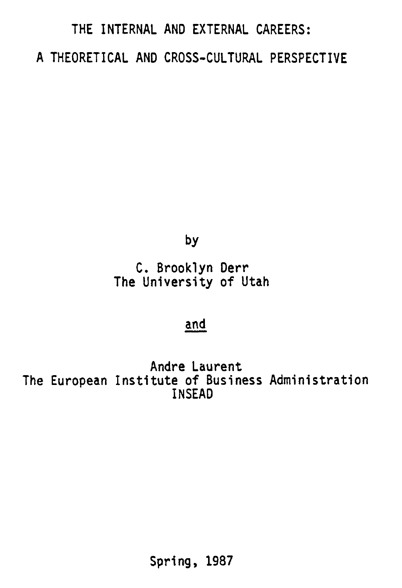# **THE INTERNAL AND EXTERNAL CAREERS: A THEORETICAL AND CROSS-CULTURAL PERSPECTIVE**

**by** 

**C. Brooklyn Derr The University of Utah** 

# **and**

**Andre Laurent The European Institute of Business Administration INSEAD**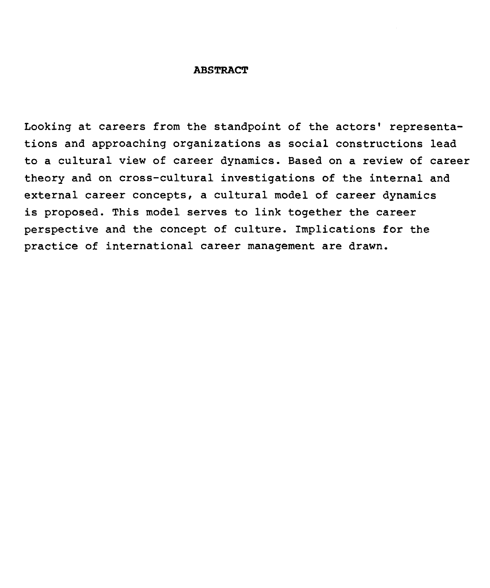#### **ABSTRACT**

Looking at careers from the standpoint of the actors' representations and approaching organizations as social constructions lead to a cultural view of career dynamics. Based on a review of career theory and on cross-cultural investigations of the internai and external career concepts, a cultural model of career dynamics is proposed. This model serves to link together the career perspective and the concept of culture. Implications for the practice of international career management are drawn.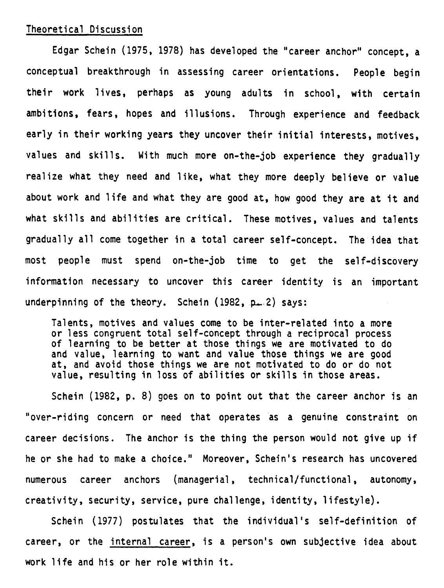#### **Theoretical Discussion**

**Edgar Schein (1975, 1978) has developed the "career anchor" concept, a conceptual breakthrough in assessing career orientations. People begin their work lives, perhaps as young adults in school, with certain ambitions, fears, hopes and illusions. Through experience and feedback early in their working years they uncover their initial interests, motives, values and skills. With much more on-the-job experience they gradually realize what they need and like, what they more deeply believe or value about work and life and what they are good at, how good they are at it and what skills and abilities are critical. These motives, values and talents**  gradually all come together in a total career self-concept. The idea that **most people must spend on-the-job time to get the self-discovery information necessary to uncover this career Identity is an important underpinning of the theory. Schein (1982, g— 2) says:** 

**Talents, motives and values corne to be inter-related into a more or less congruent total self-concept through a reciprocal process of learning to be better at those things we are motivated to do and value, learning to want and value those things we are good at, and avoid those things we are not motivated to do or do not value, resulting in loss of abilities or skills in those areas.** 

**Schein (1982, p. 8) goes on to point out that the career anchor is an "over-riding concern or need that operates as a genuine constraint on career decisions. The anchor is the thing the person would not give up if he or she had to make a choice." Moreover, Schein's research has uncovered numerous career anchors (managerial, technical/functional, autonomy, creativity, security, service, pure challenge, identity, lifestyle).** 

**Schein (1977) postulates that the individual's self-definition of career, or the internat career, is a person's own subjective idea about work life and his or her role within it.**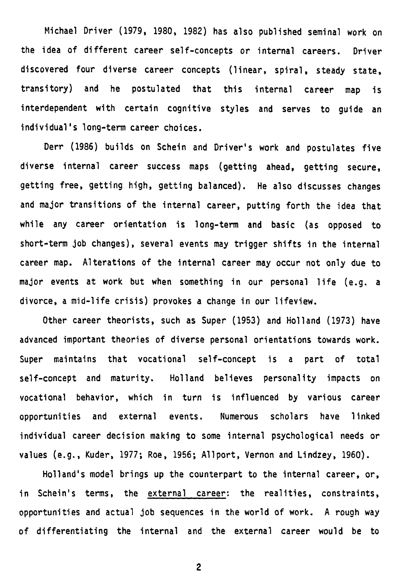**Michael Driver (1979, 1980, 1982) has also published seminal work on the idea of different career self-concepts or internal careers. Driver discovered four diverse career concepts (linear, spiral, steady state, transitory) and he postulated that this internat career map is interdependent with certain cognitive styles and serves to guide an individual's long-term career choices.** 

**Derr (1986) builds on Schein and Driver's work and postulates five diverse internai career success maps (getting ahead, getting secure, getting free, getting high, getting balanced). He also discusses changes and major transitions of the internai career, putting forth the idea that white any career orientation is long-term and basic (as opposed to short-term job changes), several events may trigger shifts in the internat career map. Alterations of the internai career may occur not only due to major events at work but when something in our personal life (e.g. a divorce, a mid-life crisis) provokes a change in our lifeview.** 

**Other career theorists, such as Super (1953) and Holland (1973) have advanced important theories of diverse personal orientations towards work. Super maintains that vocational self-concept is a part of total self-concept and maturity. Holland believes personality impacts on vocational behavior, which in turn is influenced by various career opportunities and externat events. Numerous scholars have linked individual career decision making to some internat psychological needs or values (e.g., Kuder, 1977; Roe, 1956; Allport, Vernon and Lindzey, 1960).** 

**Holland's model brings up the counterpart to the internat career, or, in Schein's terms, the external career: the realities, constraints, opportunities and actual job sequences in the world of work. A rough way of differentiating the internat and the external career would be to**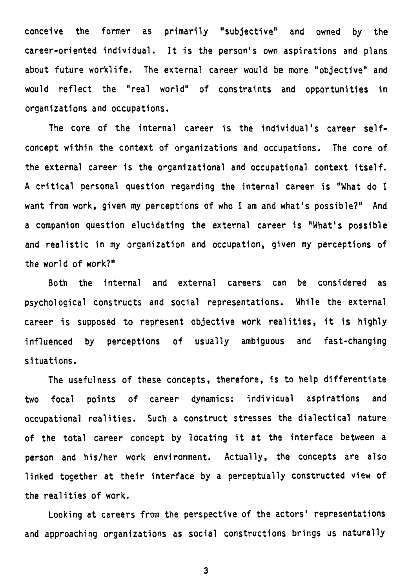**conceive the former as primarily "subjective" and owned by the career-oriented individual. It is the person's own aspirations and plans about future worklife. The external career would be more "objective" and would reflect the "real world" of constraints and opportunities in organizations and occupations.** 

**The core of the internai career is the individual's career selfconcept within the context of organizations and occupations. The core of the external career is the organizational and occupational context itself. A critical personal question regarding the internai career is "What do I want from work, given my perceptions of who I am and what's possible?" And a companion question elucidating the external career is "What's possible and realistic in my organization and occupation, given my perceptions of the world of work?"** 

**Both the internai and external careers can be considered as psychological constructs and social representations. While the external career is supposed to represent objective work realities, it is highly influenced by perceptions of usually ambiguous and fast-changing situations.** 

**The usefulness of these concepts, therefore, is to help differentiate two focal points of career dynamics: individual aspirations and occupational realities. Such a construct stresses the dialectical nature of the total career concept by locating it at the interface between a person and his/her work environment. Actually, the concepts are also linked together at their interface by a perceptually constructed view of the realities of work.** 

**Looking at careers from the perspective of the actors' representations and approaching organizations as social constructions brings us naturally**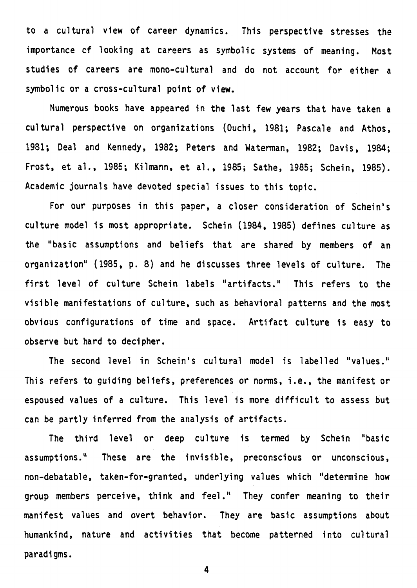**to a cultural view of career dynamics. This perspective stresses the importance cf looking at careers as symbolic systems of meaning. Most studies of careers are mono-cultural and do not account for either a symbolic or a cross-cultural point of view.** 

**Numerous books have appeared in the last few years that have taken a cultural perspective on organizations (Ouchi, 1981; Pascale and Athos, 1981; Deal and Kennedy, 1982; Peters and Waterman, 1982; Davis, 1984; Frost, et al., 1985; Kilmann, et al., 1985; Sathe, 1985; Schein, 1985). Academic journals have devoted special issues to this topic.** 

**For our purposes in this paper, a Gloser consideration of Schein's culture model is most appropriate. Schein (1984, 1985) defines culture as the "basic assumptions and beliefs that are shared by members of an organization" (1985, p. 8) and he discusses three levels of culture. The**  first level of culture Schein labels "artifacts." This refers to the **visible manifestations of culture, such as behavioral patterns and the most obvious configurations of time and space. Artifact culture is easy to observe but hard to decipher.** 

**The second level in Schein's cultural model is labelled "values." This refers to guiding beliefs, preferences or norms, i.e., the manifest or espoused values of a culture. This level is more difficult to assess but**  can be partly inferred from the analysis of artifacts.

**The third level or deep culture is termed by Schein "basic assumptions." These are the invisible, preconscious or unconscious, non-debatable, taken-for-granted, underlying values which "determine how group members perceive, think and feel." They confer meaning to their manifest values and overt behavior. They are basic assumptions about humankind, nature and activities that become patterned into cultural paradigme.**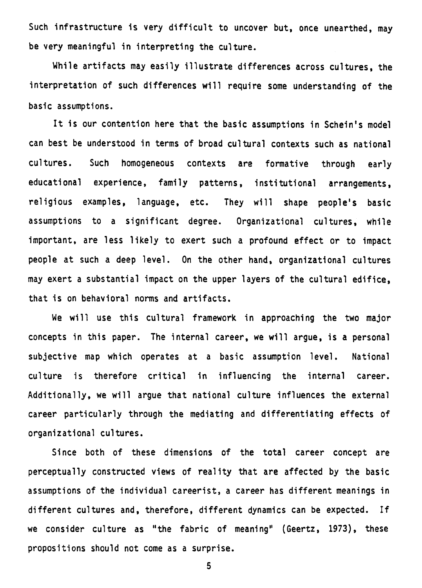**Such infrastructure is very difficult to uncover but, once unearthed, may be very meaningful in interpreting the culture.** 

**While artifacts may easily illustrate differences across cultures, the interpretation of such differences will require some understanding of the basic assumptions.** 

**It is our contention here that the basic assumptions in Schein's model can best be understood in terms of broad cultural contexts such as national cultures. Such homogeneous contexts are formative through early educational experience, family patterns, institutional arrangements, religious examples, language, etc. They will shape people's basic assumptions to a significant degree. Organizational cultures, while important, are less likely to exert such a profound effect or to impact people at such a deep level. On the other hand, organizational cultures may exert a substantial impact on the upper layers of the cultural edifice, that is on behavioral norms and artifacts.** 

**We will use this cultural framework in approaching the two major**  concepts in this paper. The internal career, we will argue, is a personal **subjective map which operates at a basic assumption level. National culture is therefore critical in influencing the internai career. Additionally, we will argue that national culture influences the external career particularly through the mediating and differentiating effects of organizational cultures.** 

**Since both of these dimensions of the total career concept are perceptually constructed views of reality that are affected by the basic assumptions of the individuel careerist, a career has different meanings in**  different cultures and, therefore, different dynamics can be expected. If **we consider culture as "the fabric of meaning" (Geertz, 1973), these**  propositions should not come as a surprise.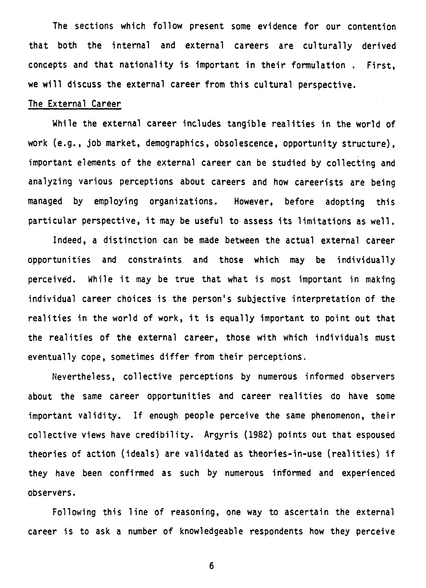**The sections which follow present some evidence for our contention that both the internai and external careers are culturally derived concepts and that nationality is important in their formulation . First, we will discuss the external career from this cultural perspective.** 

#### **The External Career**

**While the external career includes tangible realities in the world of work (e.g., job market, demographics, obsolescence, opportunity structure), important elements of the external career can be studied by collecting and analyzing various perceptions about careers and how careerists are being managed by employing organizations. However, before adopting this particular perspective, it may be useful to assess its limitations as well.** 

**Indeed, a distinction can be made between the actual external career opportunities and constraints and those which may be individually perceivèd. While it may be true that what is most important in making individual career choices is the person's subjective interpretation of the realities in the world of work, it is equally important to point out that the realities of the external career, those with which individuals must eventually cope, sometimes differ from their perceptions.** 

**Nevertheless, collective perceptions by numerous informed observers about the same career opportunities and career realities do have some important validity. If enough people perceive the same phenomenon, their collective views have credibility. Argyris (1982) points out that espoused theories of action (ideals) are validated as theories-in-use (realities) if they have been confirmed as such by numerous informed and experienced observers.** 

**Following this line of reasoning, one way to ascertain the external career is to ask a number of knowledgeable respondents how they perceive**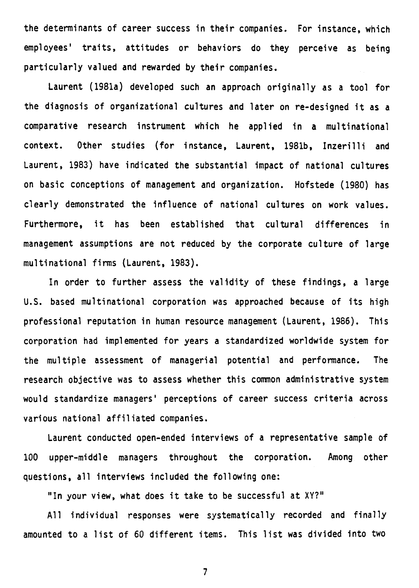**the determinants of career success in their companies. For instance, which employees' traits, attitudes or behaviors do they perceive as being particularly valued and rewarded by their companies.** 

**Laurent (1981a) developed such an approach originally as a tool for the diagnosis of organizational cultures and later on re-designed it as a comparative research instrument which he applied in a multinational context. Other studies (for instance, Laurent, 1981b, Inzerilli and Laurent, 1983) have indicated the substantial impact of national cultures on basic conceptions of management and organization. Hofstede (1980) has clearly demonstrated the influence of national cultures on work values. Furthermore, it has been established that cultural differences in management assumptions are not reduced by the corporate culture of large multinational firms (Laurent, 1983).** 

**In order to further assess the validity of these findings, a large U.S. based multinational corporation was approached because of its high professional reputation in human resource management (Laurent, 1986). This corporation had implemented for years a standardized worldwide system for the multiple assessment of managerial potential and performance. The research objective was to assess whether this common administrative system would standardize managers' perceptions of career success criteria across various national affiliated companies.** 

**Laurent conducted open-ended interviews of a representative sample of 100 upper-middle managers throughout the corporation. Among other questions, ail interviews included the following one:** 

**"In your view, what does it take to be successful at** XY?"

Ail individual responses were systematically recorded and finally amounted to a list of 60 different items. This list was divided into two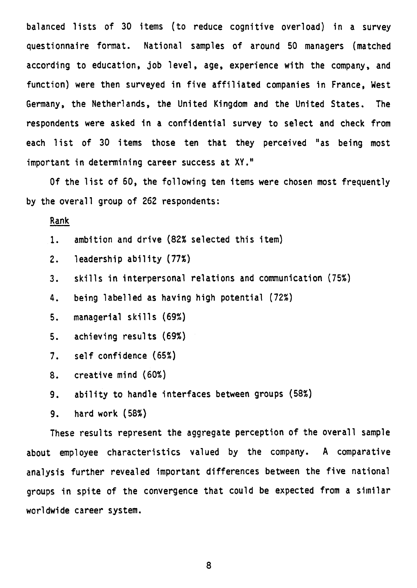**balanced lists of 30 items (to reduce cognitive overload) in a survey questionnaire format. National samples of around 50 managers (matched according to education, job level, age, experience with the company, and function) were then surveyed in five affiliated companies in France, West Germany, the Netherlands, the United Kingdom and the United States. The respondents were asked in a confidential survey to select and check from each list of 30 items those ten that they perceived "as being most important in determining career success at XY."** 

**Of the list of 60, the following ten items were chosen most frequently by the overall group of 262 respondents:** 

## **Rank**

- **1. ambition and drive (82% selected this item)**
- **2. leadership ability (77%)**
- **3. skills in interpersonal relations and communication (75%)**
- **4. being labelled as having high potential (72%)**
- **5. managerial skills (69%)**
- **5. achieving results (69%)**
- **7. self confidence (65%)**
- **8. creative mind (60%)**
- **9. ability to handle interfaces between groups (58%)**
- **9. hard work (58%)**

**These results represent the aggregate perception of the overall sample about employee characteristics valued by the company. A comparative analysis further revealed important differences between the five national groups in spite of the convergence that could be expected from a similar worldwide career system.**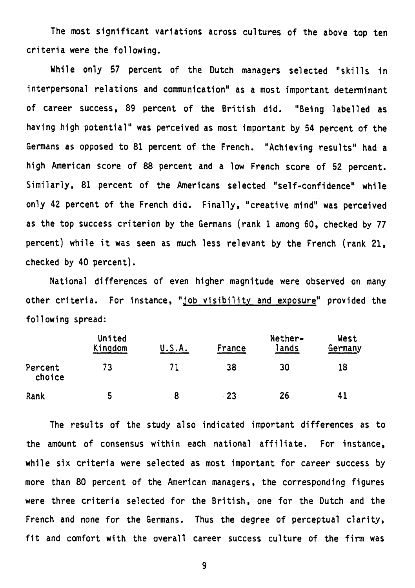**The most significant variations across cultures of the above top ten criteria were the following.** 

**While only 57 percent of the Dutch managers selected "skills in interpersonal relations and communication" as a most important determinant of career success, 89 percent of the British did. "Seing labelled as having high potential" was perceived as most important by 54 percent of the Germans as opposed to 81 percent of the French. "Achieving results" had a high American score of 88 percent and a low French score of 52 percent. Similarly, 81 percent of the Americans selected "self-confidence" while only 42 percent of the French did. Finally, "creative mind" was perceived as the top success criterion by the Germens (rank 1 among 60, checked by 77 percent) while it was seen as much less relevant by the French (rank 21, checked by 40 percent).** 

**National differences of even higher magnitude were observed on many other criteria. For instance, "job visibility and exposure" provided the following spread:** 

|                   | United<br>Kingdom | U.S.A. | France | Nether-<br>lands | West<br>Germany |
|-------------------|-------------------|--------|--------|------------------|-----------------|
| Percent<br>choice | 73                |        | 38     | 30               | 18              |
| Rank              | 5                 |        | -23    | 26               | 41              |

**The results of the study also indicated important differences as to the amount of consensus within each national affiliate. For instance, while six criteria were selected as most important for career success by more than 80 percent of the American managers, the corresponding figures were three criteria selected for the British, one for the Dutch and the French and none for the Germans. Thus the degree of perceptual clarity, fit and comfort with the overall career success culture of the firm was**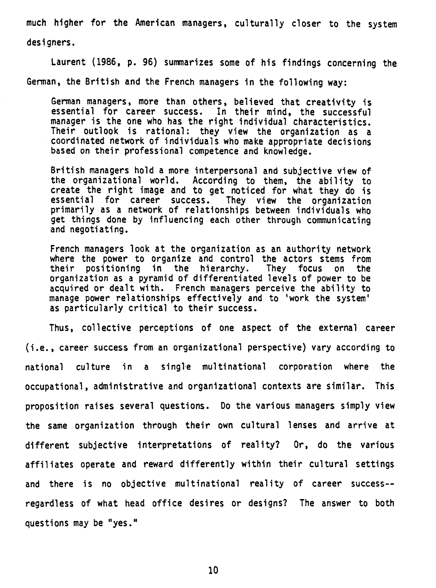**much higher for the American managers, culturally closer to the system designers.** 

**Laurent (1986, p. 96) summarizes some of his findings concerning the German, the British and the French managers in the following way:** 

**German managers, more than others, believed that creativity is essential for career success. In their mind, the successful manager is the one who has the right individual characteristics. Their outlook is rational: they view the organization as a coordinated network of individuals who make appropriate decisions based on their professional competence and knowledge.** 

**British managers hold a more interpersonal and subjective view of the organizational world. According to them, the ability to create the right image and to get noticed for what they do is essential for career success. They view the organization primarily as a network of relationships between individuals who get things done by influencing each other through communicating and negotiating.** 

**French managers look at the organization as an authority network where the power to organize and control the actors stems from their positioning in the hierarchy. They focus on the organization as a pyramid of differentiated levels of power to be acquired or dealt with. French managers perceive the ability to manage power relationships effectively and to 'work the system' as particularly critical to their success.** 

**Thus, collective perceptions of one aspect of the external career (i.e., career success from an organizational perspective) vary according to national culture in a single multinational corporation where the occupational, administrative and organizational contexts are similar. This proposition raises several questions. Do the various managers simply view the same organization through their own cultural lenses and arrive at different subjective interpretations of reality? Or, do the various affiliates operate and reward differently within their cultural settings and there is no objective multinational reality of career success- regardless of what head office desires or designs? The answer to both questions may be "yes."**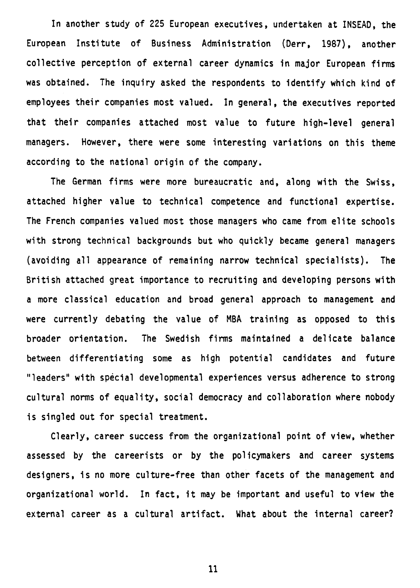**In another study of 225 European executives, undertaken at INSEAD, the European Institute of Business Administration (Derr, 1987), another collective perception of external career dynamics in major European firms was obtained. The inquiry asked the respondents to identify which kind of employees their companies most valued. In general, the executives reported that their companies attached most value to future high-level general managers. However, there were some interesting variations on this theme according to the national origin of the company.** 

**The German firms were more bureaucratic and, along with the Swiss, attached higher value to technical competence and functional expertise. The French companies valued most those managers who came from elite schools with strong technical backgrounds but who quickly became general managers (avoiding ail appearance of remaining narrow technical specialists). The British attached great importance to recruiting and developing persons with a more classical education and broad general approach to management and were currently debating the value of MBA training as opposed to this broader orientation. The Swedish firms maintained a delicate balance between differentiating some as high potential candidates and future "leaders" with spécial developmental experiences versus adherence to strong cultural norms of equality, social democracy and collaboration where nobody is singled out for special treatment.** 

**Clearly, career success from the organizational point of view, whether assessed by the careerists or by the policymakers and career systems designers, is no more culture-free than other facets of the management and organizational world. In fact, it may be important and useful to view the**  external career as a cultural artifact. What about the internal career?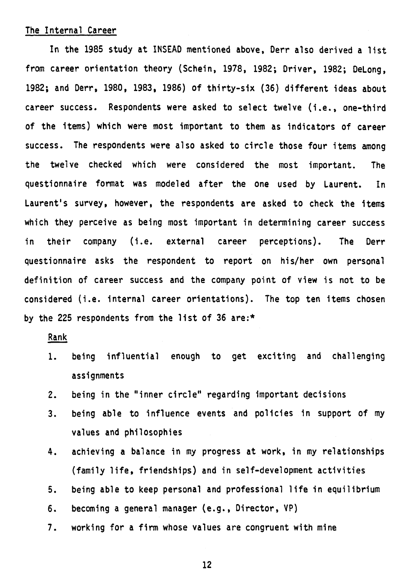#### **The Internai Career**

**In the 1985 study at INSEAD mentioned above, Derr also derived a list from career orientation theory (Schein, 1978, 1982; Driver, 1982; DeLong, 1982; and Derr, 1980, 1983, 1986) of thirty-six (36) different ideas about career success. Respondents were asked to select twelve (i.e., one-third of the items) which were most important to them as indicators of career success. The respondents were also asked to circle those four items among the twelve checked which were considered the most important. The questionnaire format was modeled after the one used by Laurent. In Laurent's survey, however, the respondents are asked to check the items which they perceive as being most important in determining career success in their company (i.e. external career perceptions). The Derr questionnaire asks the respondent to report on his/her own personal definition of career success and the company point of view is not to be considered (i.e. internai career orientations). The top ten items chosen by the 225 respondents from the list of 36 are:\*** 

## **Rank**

- **1. being influential enough to get exciting and challenging assignments**
- **2. being in the "inner circle" regarding important decisions**
- **3. being able to influence events and policies in support of my values and philosophies**
- **4. achieving a balance in my progress at work, in my relationships (family life, friendships) and in self-development activities**
- **5. being able to keep personal and professional life in equilibrium**
- **6. becoming a general manager (e.g., Director, VP)**
- **7. working for a firm whose values are congruent with mine**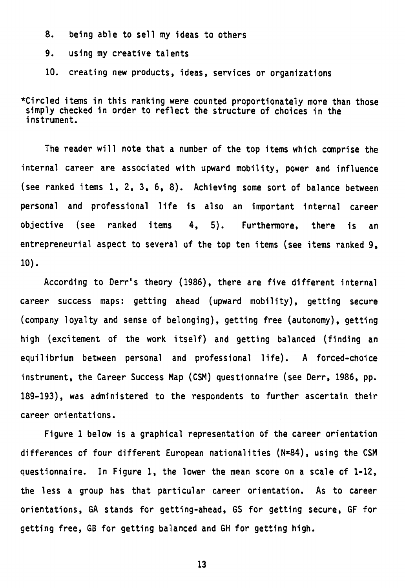**8. being able to sell my ideas to others** 

**9. using my creative talents** 

**10. creating new products, ideas, services or organizations** 

**\*Circled items in this ranking were counted proportionately more than those simply checked in order to reflect the structure of choices in the instrument.** 

**The reader will note that a number of the top items which comprise the internai career are associated with upward mobility, power and influence (see ranked items 1, 2, 3, 6, 8). Achieving some sort of balance between personal and professional life is also an important internat career objective (see ranked items 4, 5). Furthermore, there is an entrepreneurial aspect to several of the top ten items (see items ranked 9, 10).** 

**According to Derr's theory (1986), there are five different internai career success maps: getting ahead (upward mobility), getting secure (company loyalty and sense of belonging), getting free (autonomy), getting high (excitement of the work itself) and getting balanced (finding an equilibrium between personal and professional life). A forced-choice instrument, the Career Success Map (CSM) questionnaire (see Derr, 1986, pp. 189-193), was administered to the respondents to further ascertain their career orientations.** 

**Figure 1 below is a graphical representation of the career orientation differences of four different European nationalities (N=84), using the CSM questionnaire. In Figure 1, the lower the mean score on a scale of 1-12, the less a group has that particular career orientation. As to career orientations, GA stands for getting-ahead, GS for getting secure, GF for getting free, GB for getting balanced and GH for getting high.**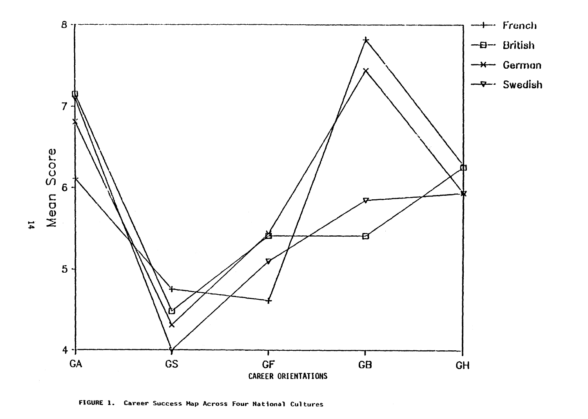

**FIGURE I. Career Success Map Across Four National Cultures** 

 $\mathbf{14}$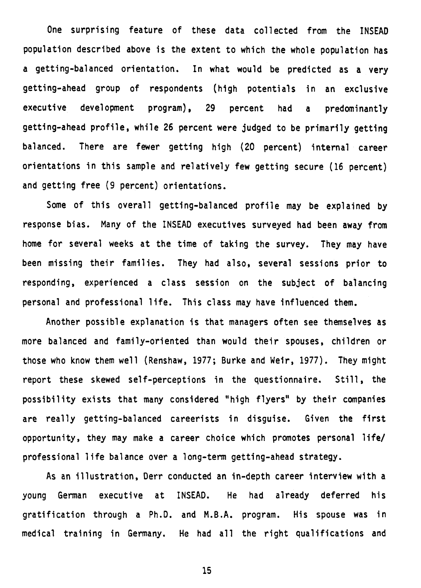**One surprising feature of these data collected from the INSEAD population described above is the extent to which the whole population has a getting-balanced orientation. In what would be predicted as a very getting-ahead group of respondents (high potentials in an exclusive executive development program), 29 percent had a predominantly getting-ahead profile, while 26 percent were judged to be primarily getting balanced. There are fewer getting high (20 percent) internat career orientations in this sample and relatively few getting secure (16 percent) and getting free (9 percent) orientations.** 

**Some of this overall getting-balanced profile may be explained by response bias. Many of the INSEAD executives surveyed had been away from home for several weeks at the time of taking the survey. They may have been missing their families. They had also, several sessions prior to responding, experienced a class session on the subject of balancing personal and professional life. This class may have influenced them.** 

**Another possible explanation is that managers often see themselves as more balanced and family-oriented than would their spouses, children or those who know them well (Renshaw, 1977; Burke and Weir, 1977). They might report these skewed self-perceptions in the questionnaire. Still, the possibility exists that many considered "high flyers" by their companies are really getting-balanced careerists in disguise. Given the first opportunity, they may make a career choice which promotes personal life/ professional life balance over a long-term getting-ahead strategy.** 

**As an illustration, Derr conducted an in-depth career interview with a young German executive at INSEAD. He had already deferred his gratification through a Ph.D. and M.B.A. program. His spouse was in medical training in Germany. He had ail the right qualifications and**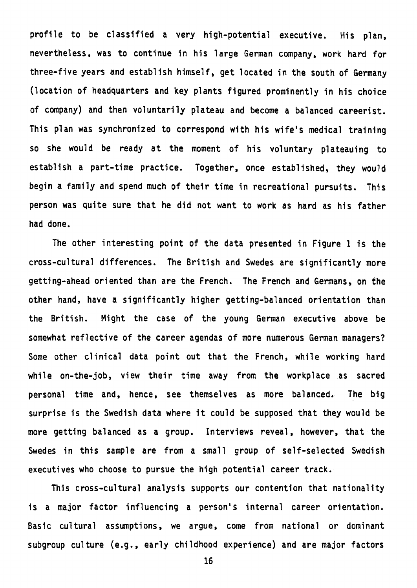profile to be classified a very high-potential executive. His plan, **nevertheless, was to continue in his large German company, work hard for three-five years and establish himself, get located in the south of Germany (location of headquarters and key plants figured prominently in his choice of company) and then voluntarily plateau and become a balanced careerist. This plan was synchronized to correspond with his wife's medical training so she would be ready at the moment of his voluntary plateauing to establish a part-time practice. Together, once established, they would begin a family and spend much of their time in recreational pursuits. This person was quite sure that he did not want to work as hard as his father had done.** 

**The other interesting point of the data presented in Figure 1 is the cross-cultural differences. The British and Swedes are significantly more getting-ahead oriented than are the French. The French and Germans, on the other hand, have a significantly higher getting-balanced orientation than the British. Might the case of the young German executive above be somewhat reflective of the career agendas of more numerous German managers? Some other clinical data point out that the French, while working hard while on-the-job, view their time away from the workplace as sacred personal time and, hence, see themselves as more balanced. The big surprise is the Swedish data where it could be supposed that they would be more getting balanced as a group. Interviews reveal, however, that the Swedes in this sample are from a small group of self-selected Swedish executives who choose to pursue the high potential career track.** 

**This cross-cultural analysis supports our contention that nationality**  is a major factor influencing a person's internal career orientation. Basic cultural assumptions, we argue, come from national or dominant **subgroup culture (e.g., early childhood experience) and are major factors**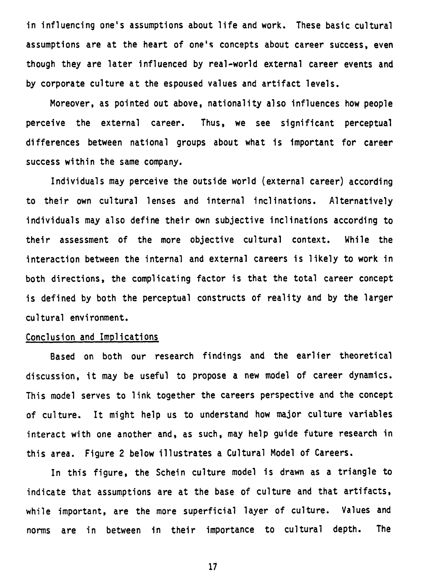**in influencing one's assumptions about life and work. These basic cultural assumptions are at the heart of one's concepts about career success, even though they are later influenced by real-world external career events and by corporate culture at the espoused values and artifact levels.** 

**Moreover, as pointed out above, nationality also influences how people perceive the external career. Thus, we see significant perceptual differences between national groups about what is important for career success within the same company.** 

**Individuels may perceive the outside world (external career) according to their own cultural lenses and internat inclinations. Alternatively individuels may also define their own subjective inclinations according to their assessment of the more objective cultural context. While the interaction between the internat and external careers is likely to work in both directions, the complicating factor is that the total career concept is defined by both the perceptual constructs of reality and by the larger cultural environment.** 

#### **Conclusion and Implications**

**Based on both our research findings and the earlier theoretical discussion, it may be useful to propose a new model of career dynamics. This model serves to link together the careers perspective and the concept of culture. It might help us to understand how major culture variables interact with one another and, as such, may help guide future research in this ares. Figure 2 below illustrates a Cultural Model of Careers.** 

**In this figure, the Schein culture model is drawn as a triangle to indicate that assumptions are at the base of culture and that artifacts, while important, are the more superficiel layer of culture. Values and norms are in between in their importance to cultural depth. The**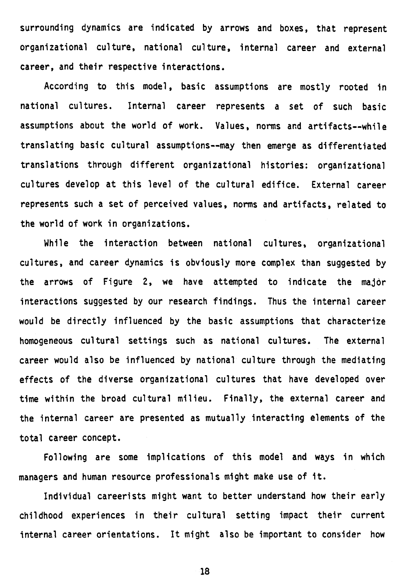**surrounding dynamics are indicated by arrows and boxes, that represent organizational culture, national culture, internai career and external career, and their respective interactions.** 

**According to this model, basic assumptions are mostly rooted in national cultures. Internai career represents a set of such basic assumptions about the world of work. Values, norms and artifacts--while translating basic cultural assumptions--may then emerge as differentiated translations through different organizational histories: organizational cultures develop at this level of the cultural edifice. External career represents such a set of perceived values, norms and artifacts, related to the world of work in organizations.** 

**While the interaction between national cultures, organizational cultures, and career dynamics is obviously more complex than suggested by the arrows of Figure 2, we have attempted to indicate the major interactions suggested by our research findings. Thus the internai career would be directly influenced by the basic assumptions that characterize homogeneous cultural settings such as national cultures. The external career would also be influenced by national culture through the mediating effects of the diverse organizational cultures that have developed over time within the broad cultural milieu. Finally, the external career and the internai career are presented as mutually interacting elements of the total career concept.** 

**Following are some implications of this model and ways in which managers and human resource professionals might make use of it.** 

**Individual careerists might want to better understand how their early childhood experiences in their cultural setting impact their current internai career orientations. It might also be important to consider how**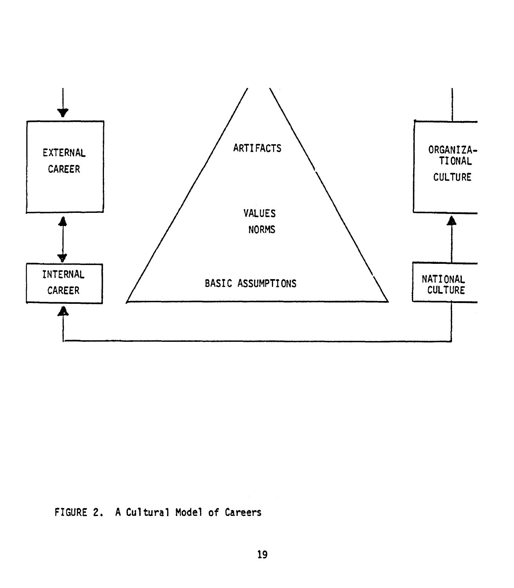

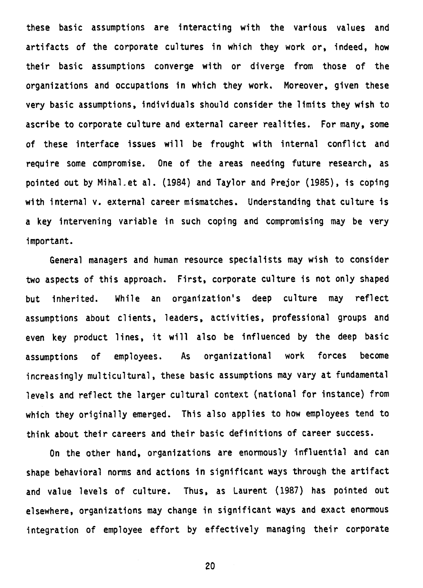**these basic assumptions are interacting with the various values and artifacts of the corporate cultures in which they work or, indeed, how their basic assumptions converge with or diverge from those of the organizations and occupations in which they work. Moreover, given these very basic assumptions, individuals should consider the limits they wish to ascribe to corporate culture and external career realities. For many, some of these interface issues will be frought with internai conflict and**  require some compromise. One of the areas needing future research, as **pointed out by Mihal.et al. (1984) and Taylor and Prejor (1985), is coping with internai v. external career mismatches. Understanding that culture is a key intervening variable in such coping and compromising may be very important.** 

**General managers and human resource specialists may wish to consider two aspects of this approach. First, corporate culture is not only shaped but inherited. While an organization's deep culture may reflect assumptions about clients, leaders, activities, professional groups and even key product lines, it will also be influenced by the deep basic assumptions of employees. As organizational work forces become increasingly multicultural, these basic assumptions may vary at fundamental levels and reflect the larger cultural context (national for instance) from which they originally emerged. This also applies to how employees tend to think about their careers and their basic definitions of career success.** 

**On the other hand, organizations are enormously influential and can shape behavioral norms and actions in significant ways through the artifact and value levels of culture. Thus, as Laurent (1987) has pointed out elsewhere, organizations may change in significant ways and exact enormous integration of employee effort by effectively managing their corporate**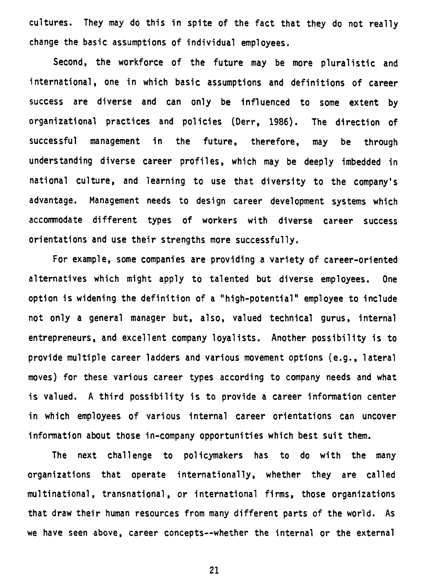**cultures. They may do this in spite of the fact that they do not really change the basic assumptions of individual employees.** 

**Second, the workforce of the future may be more pluralistic and international, one in which basic assumptions and definitions of career success are diverse and can only be influenced to some extent by organizational practices and policies (Derr, 1986). The direction of successful management in the future, therefore, may be through understanding diverse career profiles, which may be deeply imbedded in national culture, and learning to use that diversity to the company's advantage. Management needs to design career development systems which accommodate different types of workers with diverse career success orientations and use their strengths more successfully.** 

**For example, some companies are providing a variety of career-oriented alternatives which might apply to talented but diverse employees. One**  option is widening the definition of a "high-potential" employee to include **not only a general manager but, also, valued technical gurus, internai entrepreneurs, and excellent company loyalists. Another possibility is to provide multiple career ladders and various movement options (e.g., lateral moves) for these various career types according to company needs and what is valued. A third possibility is to provide a career information center**  in which employees of various internal career orientations can uncover **information about those in-company opportunities which best suit them.** 

**The next challenge to policymakers has to do with the many organizations that operate internationally, whether they are called multinational, transnational, or international firms, those organizations that draw their human resources from many different parts of the world. As we have seen above, career concepts--whether the internai or the externat**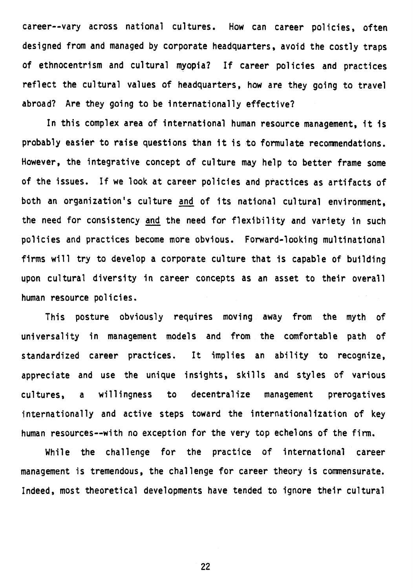**career--vary across national cultures. How can career policies, often designed from and managed by corporate headquarters, avoid the costly traps of ethnocentrism and cultural myopia? If career policies and practices reflect the cultural values of headquarters, how are they going to travel abroad? Are they going to be internationally effective?** 

**In this complex ares of international human resource management, it is probably easier to raise questions than it is to formulate recommendations. However, the integrative concept of culture may help to better frame some of the issues. If we look at career policies and practices as artifacts of both an organization's culture and of its national cultural environment, the need for consistency and the need for flexibility and variety in such policies and practices become more obvious. Forward-looking multinational firms will try to develop a corporate culture that is capable of building upon cultural diversity in career concepts as an asset to their overall human resource policies.** 

**This posture obviously requires moving away from the myth of universality in management models and from the comfortable path of standardized career practices. It implies an ability to recognize, appreciate and use the unique insights, skills and styles of various**  cultures, a willingness to decentralize management prerogatives **internationally and active steps toward the internationalization of key human resources--with no exception for the very top echelons of the firm.** 

**While the challenge for the practice of international career management is tremendous, the challenge for career theory is commensurate. Indeed, most theoretical developments have tended to ignore their cultural**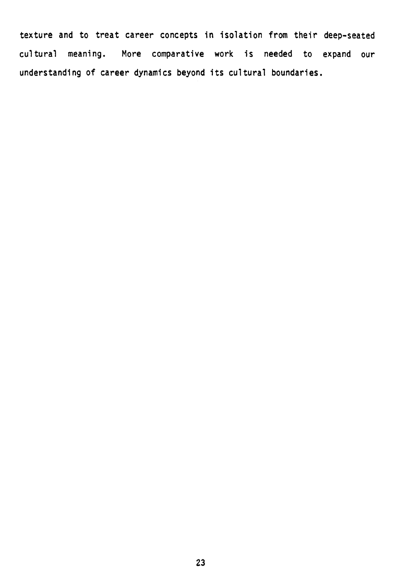**texture and to treat career concepts in isolation from their deep-seated cultural meaning. More comparative work is needed to expand our understanding of career dynamics beyond its cultural boundaries.**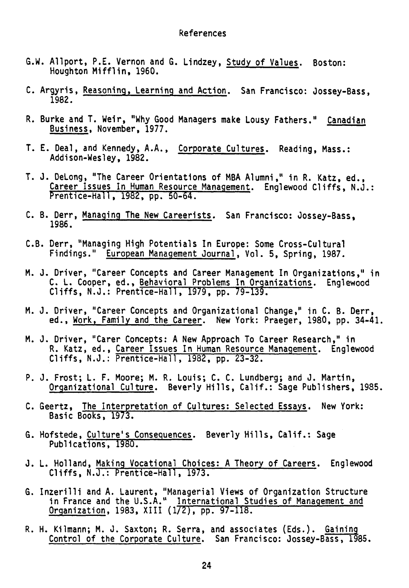#### **References**

- **G.W. Allport, P.E. Vernon and G. Lindzey, Study of Values. Boston: Houghton Mifflin, 1960.**
- **C. Argyris, Reasoning, Learning and Action. San Francisco: Jossey-Bass, 1982.**
- **R. Burke and T. Weir, "Why Good Managers make Lousy Fathers." Canadian Business, November, 1977.**
- **T. E. Deal, and Kennedy, A.A., Corporate Cultures. Reading, Mass.: Addison-Wesley, 1982.**
- **T. J. DeLong, "The Career Orientations of MBA Alumni," in R. Katz, ed., Career Issues In Human Resource Management. Englewood Cliffs, N.J.: Prentice-Hall, 1982, pp. 50-64.**
- **C. B. Derr, Managing The New Careerists. San Francisco: Jossey-Bass, 1986.**
- **C.B. Derr, "Managing High Potentials In Europe: Some Cross-Cultural Findings." European Management Journal, Vol. 5, Spring, 1987.**
- **M. J. Driver, "Career Concepts and Career Management In Organizations," in C. L. Cooper, ed., Behavioral Problems In Organizations. Englewood Cliffs, N.J.: Prentice-Hall, 1979, pp. 79-139.**
- **M. J. Driver, "Career Concepts and Organizational Change," in C. B. Derr, ed., Work, Family and the Career. New York: Praeger, 1980, pp. 34-41.**
- **M. J. Driver, "Carer Concepts: A New Approach To Career Research," in R. Katz, ed., Career Issues In Human Resource Management. Englewood Cliffs, N.J.: Prentice-Hall, 1982, pp. 23-32.**
- **P. J. Frost; L. F. Moore; M. R. Louis; C. C. Lundberg; and J. Martin, Organizational Culture. Beverly Hills, Calif.: Sage Publishers, 1985.**
- **C. Geertz, The Interpretation of Cultures: Selected Essays. New York: Basic Books, 1973.**
- **G. Hofstede, Culture's Consequences. Beverly Hills, Calif.: Sage Publications, 1980.**
- **J. L. Holland, Making Vocational Choices: A Theory of Careers. Englewood Cliffs, N.J.: Prentice-Hall, 1973.**
- **G. Inzerilli and A. Laurent, "Managerial Views of Organization Structure in France and the U.S.A." International Studies of Management and Organization, 1983, XIII (1/2), pp. 97-118.**
- **R. H. Kiimann; M. J. Saxton; R. Serra, and associates (Eds.). Gaining Control of the Corporate Culture. San Francisco: Jossey-Bass, 1985.**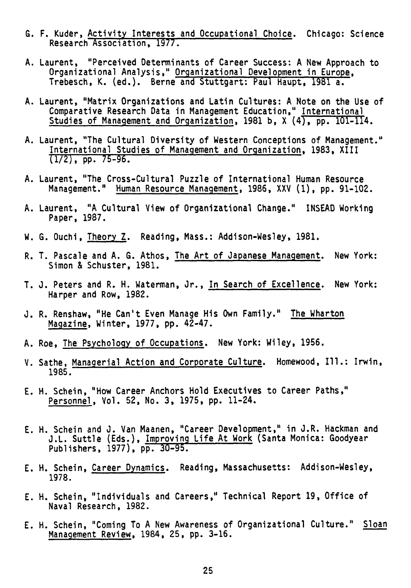- **G. F. Kuder, Activity Interests and Occupational Choice. Chicago: Science Research Association, 1977.**
- **A. Laurent, "Perceived Oeterminants of Career Success: A New Approach to Organizational Analysis," Organizational Development in Europe, Trebesch, K. (ed.). Berne and Stuttgart: Paul Haupt, 1981 a.**
- **A. Laurent, "Matrix Organizations and Latin Cultures: A Note on the Use of Comparative Research Data in Management Education," International Studies of Management and Organization, 1981 b, X (4), pp. 101-114.**
- **A. Laurent, "The Cultural Diversity of Western Conceptions of Management." International Studies of Management and Organization, 1983, XIII (1/2), pp. 75-96.**
- **A. Laurent, "The Cross-Cultural Puzzle of International Human Resource Management." Human Resource Management, 1986, XXV (1), pp. 91-102.**
- **A. Laurent, "A Cultural View of Organizational Change." INSEAD Working Paper, 1987.**
- **W. G. Ouchi, Theory Z. Reading, Mass.: Addison-Wesley, 1981.**
- **R. T. Pascale and A. G. Athos, The Art of Japanese Management. New York: Simon & Schuster, 1981.**
- **T. J. Peters and R. H. Waterman, Jr., In Search of Excellence. New York: Harper and Row, 1982.**
- **J. R. Renshaw, "He Can't Even Manage His Own Family." The Wharton Magazine, Winter, 1977, pp. 42-47.**
- **A. Roe, The Psychology of Occupations. New York: Wiley, 1956.**
- **V. Sathe, Managerial Action and Corporate Culture. Homewood, Ill.: Irwin, 1985.**
- **E. H. Schein, "How Career Anchors Hold Executives to Career Paths," Personnel, Vol. 52, No. 3, 1975, pp. 11-24.**
- **E. H. Schein and J. Van Maanen, "Career Development," in J.R. Hackman and**  J.L. Suttle (Eds.), Improving Life At Work (Santa Monica: Goodyear **Publishers, 1977), pp.**
- **E. H. Schein, Career Dynamics. Reading, Massachusetts: Addison-Wesley, 1978.**
- **E. H. Schein, "Individuals and Careers," Technical Report 19, Office of Naval Research, 1982.**
- **E. H. Schein, "Coming To A New Awareness of Organizational Culture." Sloan Management Review, 1984, 25, pp. 3-16.**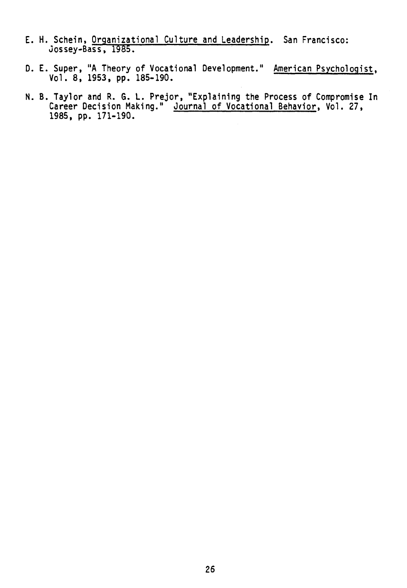- **E. H. Schein, Organizational Culture and Leadership. San Francisco: Jossey-Bass, 1985.**
- **D. E. Super, "A Theory of Vocational Development." American Psychologist, Vol. 8, 1953, pp. 185-190.**
- **N. B. Taylor and R. G. L. Prejor, "Explaining the Process of Compromise In Career Decision Making." Journal of Vocational Behavior, Vol. 27, 1985, pp. 171-190.**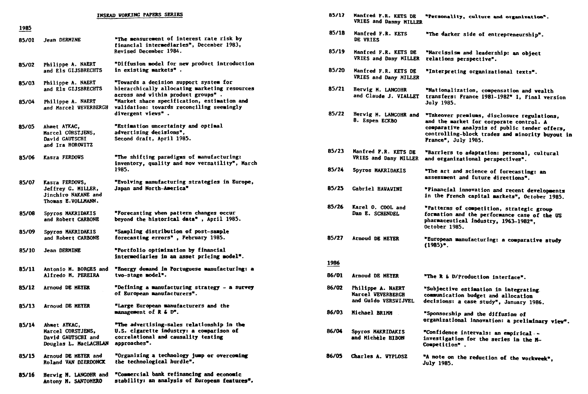| <b>INSEAD VORKING PAPERS SERIES</b> |                                                                                   |                                                                                                                                                      |  |  |
|-------------------------------------|-----------------------------------------------------------------------------------|------------------------------------------------------------------------------------------------------------------------------------------------------|--|--|
| 1985                                |                                                                                   |                                                                                                                                                      |  |  |
| 85/01                               | Jean DERMINE                                                                      | "The measurement of interest rate risk by<br>financial intermediaries", December 1983,<br>Revised December 1984.                                     |  |  |
| 85/02                               | Philippe A. NAERT<br>and Els GIJSBRECHTS                                          | "Diffusion model for new product introduction<br>in existing markets".                                                                               |  |  |
| 85/03                               | Philippe A. NAERT<br>and Els GIJSBRECHTS                                          | "Towards a decision support system for<br>hierarchically allocating marketing resources<br>across and within product groups".                        |  |  |
| 85/04                               | Philippe A. NAERT<br>and Marcel VEVERBERGH                                        | "Market share specification, estimation and<br>validation: towards reconciling seemingly<br>divergent views".                                        |  |  |
| 85/05                               | Ahmet AYKAC,<br>Marcel CORSTJENS,<br>David GAUTSCHI<br>and Ira HOROWITZ           | "Estimation uncertainty and optimal<br>advertising decisions",<br>Second draft, April 1985.                                                          |  |  |
| 85/06                               | Kasra FERDOWS                                                                     | "The shifting paradigms of manufacturing:<br>inventory, quality and now versatility", March<br>1985.                                                 |  |  |
| 85/07                               | Kasra FERDOVS,<br>Jeffrey G. MILLER,<br>Jinchiro NAKANE and<br>Thomas E.VOLLMANN. | "Evolving manufacturing strategies in Europe,<br>Japan and North-America"                                                                            |  |  |
| 85/08                               | Spyros MAKRIDAKIS<br>and Robert CARBONE                                           | "Forecasting when pattern changes occur<br>beyond the historical data", April 1985.                                                                  |  |  |
| 85/09                               | Spyros MAKRIDAKIS<br>and Robert CARBONE                                           | "Sampling distribution of post-sample<br>forecasting errors", February 1985.                                                                         |  |  |
| 85/10                               | Jean DERMINE                                                                      | "Portfolio optimization by financial<br>intermediaries in an asset pricing model".                                                                   |  |  |
| 85/11                               | Antonio M. BORGES and<br>Alfredo M. PEREIRA                                       | "Energy demand in Portuguese manufacturing: a<br>tvo-stage model".                                                                                   |  |  |
| 85/12                               | Arnoud DE MEYER                                                                   | "Defining a manufacturing strategy - a survey<br>of European manufacturers".                                                                         |  |  |
| 85/13                               | Arnoud DE MEYER                                                                   | "Large European manufacturers and the<br>management of $R$ & $D^*$ .                                                                                 |  |  |
| 85/14                               | Ahmet AYKAC,<br>Marcel CORSTJENS.<br>David GAUTSCHI and<br>Douglas L. MacLACHLAN  | "The advertising-sales relationship in the<br><b>U.S. cigarette industry: a comparison of</b><br>correlational and causality testing<br>approaches". |  |  |
| 85/15                               | Arnoud DE MEYER and<br>Roland VAN DIERDONCK                                       | "Organizing a technology jump or overcoming<br>the technological burdle".                                                                            |  |  |
| 85/16                               | Hervig M. LANGOHR and                                                             | "Commercial bank refinancing and economic                                                                                                            |  |  |

**stability: an analysis of European featUres\*.** 

**Antony M. SANTOMERO** 

| 85/17 | Manfred F.R. KETS DE<br>VRIES and Danny MILLER                 | "Personality, culture and organization".                                                                                                                                                                          |
|-------|----------------------------------------------------------------|-------------------------------------------------------------------------------------------------------------------------------------------------------------------------------------------------------------------|
| 85/18 | Manfred F.R. KETS<br>DE VRIES                                  | "The darker side of entrepreneurship".                                                                                                                                                                            |
| 85/19 | Manfred F.R. KETS DE<br>VRIES and Dany MILLER                  | "Narcissism and leadership: an object<br>relations perspective".                                                                                                                                                  |
| 85/20 | Manfred F.R. KETS DE<br>VRIES and Dany MILLER                  | "Interpreting organizational texts".                                                                                                                                                                              |
| 85/21 | Hervig M. LANGOHR<br>and Claude J. VIALLET                     | "Nationalization, compensation and vealth<br>transfers: France 1981-1982" 1, Final version<br><b>July 1985.</b>                                                                                                   |
| 85/22 | Hervig M. LANGOHR and<br>8. Espen ECKBO                        | "Takeover premiums, disclosure regulations,<br>and the market for corporate control. A<br>comparative analysis of public tender offers,<br>controlling-block trades and minority buyout in<br>France", July 1985. |
| 85/23 | Manfred F.R. KETS DE<br>VRIES and Dany MILLER                  | "Barriers to adaptation: personal, cultural<br>and organizational perspectives".                                                                                                                                  |
| 85/24 | Spyros MAKRIDAKIS                                              | "The art and science of forecasting: an<br>assessment and future directions".                                                                                                                                     |
| 85/25 | Gabriel HAWAWINI                                               | "Financial innovation and recent developments<br>in the French capital markets", October 1985.                                                                                                                    |
| 85/26 | Karel O. COOL and<br>Dan E. SCHENDEL                           | "Patterns of competition, strategic group<br>formation and the performance case of the US<br>pharmaceutical industry, 1963-1982",<br>October 1985.                                                                |
| 85/27 | Arnoud DE MEYER                                                | "European manufacturing: a comparative study<br>$(1985)^*$ .                                                                                                                                                      |
| 1986  |                                                                |                                                                                                                                                                                                                   |
| 86/01 | <b>Arnoud DE MEYER</b>                                         | "The R & D/Production interface".                                                                                                                                                                                 |
| 86/02 | Philippe A. NAERT<br>Marcel VEVERBERGH<br>and Guido VERSWIJVEL | "Subjective estimation in integrating.<br>communication budget and allocation<br>decisions: a case study", January 1986.                                                                                          |
| 86/03 | Michael BRIMM                                                  | "Sponsorship and the diffusion of<br>organizational innovation: a preliminary view".                                                                                                                              |
| 86/04 | Spyros MAKRIDAKIS<br>and Michèle HIBON                         | "Confidence intervals: an empirical --<br>investigation for the series in the M-<br>Competition".                                                                                                                 |
| 86/05 | Charles A. WYPLOSZ                                             | "A note on the reduction of the workweek",<br><b>July 1985.</b>                                                                                                                                                   |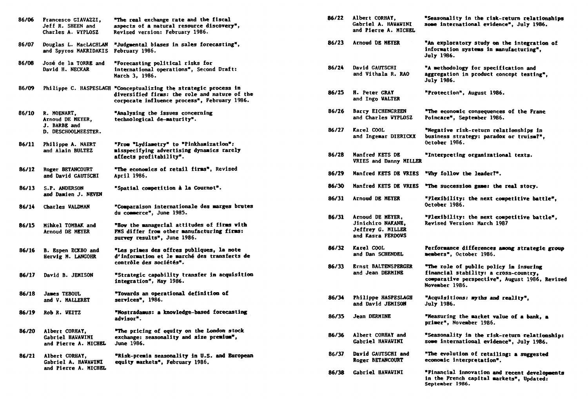| 86/06 | Francesco GIAVAZZI,<br>Jeff R. SHEEN and<br>Charles A. WYPLOSZ | "The real exchange rate and the fiscal<br>aspects of a natural resource discovery",<br>Revised version: February 1986.                                            | 80/ZZ | ALDETT CORNAI,<br>Gabriel A. HAWAWINI<br>and Pierre A. MICHEL                   | "Seasonality in the fisk-ret<br>some international evidence"                                                   |
|-------|----------------------------------------------------------------|-------------------------------------------------------------------------------------------------------------------------------------------------------------------|-------|---------------------------------------------------------------------------------|----------------------------------------------------------------------------------------------------------------|
| 86/07 | Douglas L. MacLACHLAN<br>and Spyros MAKRIDAKIS                 | "Judgmental biases in sales forecasting",<br>February 1986.                                                                                                       | 86/23 | Arnoud DE MEYER                                                                 | "An exploratory study on the<br>information systems in manuf<br><b>July 1986.</b>                              |
| 86/08 | José de la TORRE and<br>David H. NECKAR                        | "Forecasting political risks for<br>international operations", Second Draft:<br>March 3, 1986.                                                                    | 86/24 | David GAUTSCHI<br>and Vithala R. RAO                                            | "A methodology for specifica<br>aggregation in product conce<br><b>July 1986.</b>                              |
| 86/09 |                                                                | Philippe C. HASPESLAGH "Conceptualizing the strategic process in<br>diversified firms: the role and nature of the<br>corporate influence process", February 1986. | 86/25 | H. Peter GRAY<br>and Ingo WALTER                                                | "Protection", August 1986.                                                                                     |
| 86/10 | R. MOENART,<br>Arnoud DE MEYER,                                | "Analysing the issues concerning<br>technological de-maturity".                                                                                                   | 86/26 | Barry EICHENGREEN<br>and Charles WYPLOSZ                                        | "The economic consequences o<br>Poincare", September 1986.                                                     |
|       | J. BARBE and<br>D. DESCHOOLMEESTER.                            |                                                                                                                                                                   | 86/27 | Karel COOL<br>and Ingemar DIERICKX                                              | "Negative risk-return relati<br>business strategy: paradox o<br>October 1986.                                  |
| 86/11 | Philippe A. NAERT<br>and Alain BULTEZ                          | "From "Lydiametry" to "Pinkhamization":<br>misspecifying advertising dynamics rarely<br>affects profitability".                                                   | 86/28 | Manfred KETS DE<br>VRIES and Danny MILLER                                       | "Interpreting organizational                                                                                   |
| 86/12 | Roger BETANCOURT<br>and David GAUTSCHI                         | "The economics of retail firms", Revised<br>April 1986.                                                                                                           | 86/29 | Manfred KETS DE VRIES                                                           | "Why follow the leader?".                                                                                      |
| 86/13 | S.P. ANDERSON<br>and Damien J. NEVEN                           | "Spatial competition à la Cournot".                                                                                                                               | 86/30 | Manfred KETS DE VRIES                                                           | "The succession game: the re                                                                                   |
| 86/14 | Charles VALDMAN                                                | "Comparaison internationale des marges brutes                                                                                                                     | 86/31 | Arnoud DE MEYER                                                                 | "Flexibility: the next compe<br>October 1986.                                                                  |
| 86/15 | Mihkel TOMBAK and<br>Arnoud DE MEYER                           | du commerce", June 1985.<br>"How the managerial attitudes of firms with<br>PMS differ from other manufacturing firms:<br>survey results", June 1986.              | 86/31 | Arnoud DE MEYER,<br>Jinichiro NAKANE,<br>Jeffrey G. MILLER<br>and Kasra FERDOWS | "Plexibility: the next compe<br>Revised Version: March 1987                                                    |
| 86/16 | <b>B.</b> Espen ECKBO and<br>Hervig M. LANGOHR                 | "Les primes des offres publiques, la note<br>d'information et le marché des transferts de                                                                         | 86/32 | Karel COOL<br>and Dan SCHENDEL                                                  | <b>Performance differences amon</b><br>members", October 1986.                                                 |
| 86/17 | David B. JEMISON                                               | contrôle des sociétés".<br>"Strategic capability transfer in acquisition<br>integration", May 1986.                                                               | 86/33 | <b>Ernst BALTENSPERGER</b><br>and Jean DERMINE                                  | "The role of public policy i<br>financial stability: a cross<br>comparative perspective", Au<br>November 1986. |
| 86/18 | <b>James TEBOUL</b><br>and V. MALLERET                         | "Towards an operational definition of<br>services", 1986.                                                                                                         | 86/34 | Philippe HASPESLAGH<br>and David JEMISON                                        | "Acquisitions: myths and rea<br><b>July 1986.</b>                                                              |
| 86/19 | Rob R. VEITZ                                                   | "Nostradamus: a knowledge-based forecasting<br>advisor".                                                                                                          | 86/35 | <b>Jean DERMINE</b>                                                             | "Measuring the market value<br>primer", November 1986.                                                         |
| 86/20 | Albert CORHAY.<br>Gabriel HAWAWINI<br>and Pierre A. MICHEL     | The pricing of equity on the London stock<br>exchange: seasonality and size premium",<br>June 1986.                                                               | 86/36 | Albert CORHAY and<br>Gabriel HAWAWINI                                           | "Seasonality in the risk-ret<br>some international evidence"                                                   |
| 86/21 | Albert CORHAY,<br>Gabriel A. HAWAWINI                          | "Risk-premia seasonality in U.S. and European<br>equity markets", February 1986.                                                                                  | 86/37 | David GAUTSCHI and<br>Roger BETANCOURT                                          | "The evolution of retailing:<br>economic interpretation".                                                      |
|       | and Pierre A. MICHEL                                           |                                                                                                                                                                   | 86/38 | <b>Gabriel HAWAVINI</b>                                                         | "Financial innovation and re                                                                                   |

| "The real exchange rate and the fiscal<br>aspects of a natural resource discovery",<br><b>Revised version: February 1986.</b>                        | 86/22 | Albert CORHAY,<br>Gabriel A. HAWAWINI<br>and Pierre A. MICHEL                          | "Seasonality in the risk-return relationships<br>some international evidence", July 1986.                                                           |
|------------------------------------------------------------------------------------------------------------------------------------------------------|-------|----------------------------------------------------------------------------------------|-----------------------------------------------------------------------------------------------------------------------------------------------------|
| "Judgmental biases in sales forecasting",<br>February 1986.                                                                                          | 86/23 | Arnoud DE HEYER                                                                        | "An exploratory study on the integration of<br>information systems in manufacturing",<br><b>July 1986.</b>                                          |
| "Forecasting political risks for<br>international operations", Second Draft:<br><b>March 3, 1986.</b>                                                | 86/24 | David GAUTSCHI<br>and Vithala R. RAO                                                   | "A methodology for specification and<br>aggregation in product concept testing",<br><b>July 1986.</b>                                               |
| "Conceptualizing the strategic process in<br>diversified firms: the role and nature of the<br>corporate influence process", February 1986.           | 86/25 | H. Peter GRAY<br>and Ingo WALTER                                                       | "Protection", August 1986.                                                                                                                          |
| "Analysing the issues concerning<br>technological de-maturity".                                                                                      | 86/26 | Barry EICHENGREEN<br>and Charles WYPLOSZ                                               | "The economic consequences of the Franc<br>Poincare", September 1986.                                                                               |
| "From "Lydiametry" to "Pinkhamization":                                                                                                              | 86/27 | Karel COOL<br>and Ingemar DIERICKX                                                     | "Negative risk-return relationships in<br>business strategy: paradox or truism?",<br>October 1986.                                                  |
| misspecifying advertising dynamics rarely<br>affects profitability".                                                                                 | 86/28 | Manfred KETS DE<br>VRIES and Danny MILLER                                              | "Interpreting organizational texts.                                                                                                                 |
| "The economics of retail firms", Revised<br>April 1986.                                                                                              | 86/29 | Manfred KETS DE VRIES                                                                  | "Why follow the leader?".                                                                                                                           |
| "Spatial competition à la Cournot".                                                                                                                  | 86/30 | Manfred KETS DE VRIES                                                                  | "The succession game: the real story.                                                                                                               |
| "Comparaison internationale des marges brutes                                                                                                        | 86/31 | Arnoud DE MEYER                                                                        | "Plexibility: the next competitive battle".<br>October 1986.                                                                                        |
| du commerce", June 1985.<br>"How the managerial attitudes of firms with<br>PMS differ from other manufacturing firms:<br>survey results", June 1986. | 86/31 | Arnoud DE MEYER,<br><b>Jinichiro NAKANE,</b><br>Jeffrey G. MILLER<br>and Kasra FERDOWS | "Plexibility: the next competitive battle".<br>Revised Version: March 1987                                                                          |
| "Les primes des offres publiques, la note<br>d'information et le marché des transferts de                                                            | 86/32 | Karel COOL<br>and Dan SCHENDEL                                                         | Performance differences among strategic group<br>members", October 1986.                                                                            |
| contrôle des sociétés".<br>"Strategic capability transfer in acquisition<br>integration", May 1986.                                                  | 86/33 | <b>Ernst BALTENSPERGER</b><br>and Jean DERMINE                                         | "The role of public policy in insuring<br>financial stability: a cross-country.<br>comparative perspective", August 1986, Revised<br>November 1986. |
| "Tovards an operational definition of<br>services", 1986.                                                                                            | 86/34 | Philippe HASPESLAGH<br>and David JEMISON                                               | "Acquisitions: myths and reality",<br><b>July 1986.</b>                                                                                             |
| "Nostradamus: a knowledge-based forecasting<br>advisor".                                                                                             | 86/35 | Jean DERMINE                                                                           | "Measuring the market value of a bank, a<br>primer", November 1986.                                                                                 |
| "The pricing of equity on the London stock<br>exchange: seasonality and size premium",<br>June 1986.                                                 | 86/36 | Albert CORHAY and<br><b>Gabriel HAVAVINI</b>                                           | "Seasonality in the risk-return relationship:<br>some international evidence", July 1986.                                                           |
| "Risk-premia seasonality in U.S. and European<br>equity markets", February 1986.                                                                     | 86/37 | David GAUTSCHI and<br>Roger BETANCOURT                                                 | "The evolution of retailing: a suggested<br>economic interpretation".                                                                               |
|                                                                                                                                                      | 86/38 | <b>Gabriel HAWAVINI</b>                                                                | "Financial innovation and recent developments<br>in the French capital markets", Updated:<br>September 1986.                                        |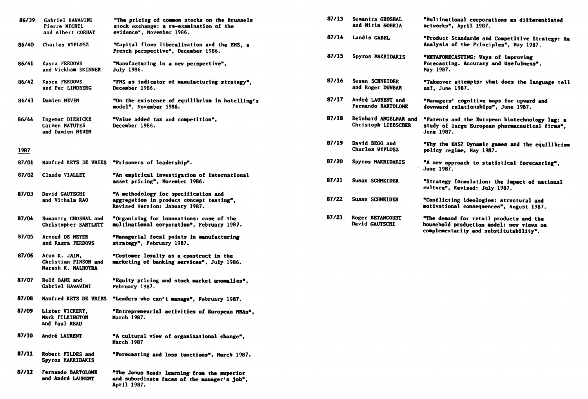| 86/39 | Gabriel HAVAVINI<br>Pierre MICHEL<br>and Albert CORHAY      | "The pricing of common stocks on the Brussels<br>stock exchange: a re-examination of the<br>evidence", November 1986. | 87/13 | Sumantra GROSHAL<br>and Nitin NORRIA          |
|-------|-------------------------------------------------------------|-----------------------------------------------------------------------------------------------------------------------|-------|-----------------------------------------------|
| 86/40 | Charles WYPLOSZ                                             | "Capital flows liberalization and the EMS, a                                                                          | 87/14 | Landis GABEL                                  |
|       |                                                             | French perspective", December 1986.                                                                                   | 87/15 | Spyros MAKRIDAKIS                             |
| 86/41 | Kasra FERDOVS<br>and Vickham SKINNER                        | "Manufacturing in a new perspective",<br><b>July 1986.</b>                                                            |       |                                               |
| 86/42 | Kasra FERDOWS<br>and Per LINDBERG                           | "FMS as indicator of manufacturing strategy",<br>December 1986.                                                       | 87/16 | Susan SCHNEIDER<br>and Roger DUNBAR           |
| 86/43 | Damien NEVEN                                                | "On the existence of equilibrium in hotelling's<br>model", November 1986.                                             | 87/17 | André LAURENT and<br><b>Fernando BARTOLON</b> |
| 86/44 | Ingemar DIERICKX<br>Carmen MATUTES<br>and Damien NEVEN      | "Value added tax and competition",<br>December 1986.                                                                  | 87/18 | Reinhard ANGELMAR<br>Christoph LIEBSCH        |
| 1987  |                                                             |                                                                                                                       | 87/19 | David BEGG and<br><b>Charles WYPLOSZ</b>      |
| 87/01 | Manfred KETS DE VRIES                                       | "Prisoners of leadership".                                                                                            | 87/20 | Spyros MAKRIDAKIS                             |
| 87/02 | Claude VIALLET                                              | "An empirical investigation of international<br>asset pricing", November 1986.                                        | 87/21 | Susan SCHNEIDER                               |
| 87/03 | David GAUTSCHI<br>and Vithala RAO                           | "A methodology for specification and<br>aggregation in product concept testing",<br>Revised Version: January 1987.    | 87/22 | <b>Susan SCHNEIDER</b>                        |
| 87/04 | Sumantra GHOSRAL and<br>Christopher BARTLETT                | "Organizing for innovations: case of the<br>multinational corporation", February 1987.                                | 87/23 | Roger BETANCOURT<br>David GAUTSCHI            |
| B7/05 | Arnoud DE MEYER<br>and Kasra FERDOVS                        | "Managerial focal points in manufacturing<br>strategy", February 19B7.                                                |       |                                               |
| 87/06 | Arun K. JAIN,<br>Christian PINSON and<br>Naresh K. MALHOTRA | "Customer loyalty as a construct in the<br>marketing of banking services", July 1986.                                 |       |                                               |
| 87/07 | Rolf BANZ and<br>Gabriel HAVAVINI                           | "Equity pricing and stock market anomalies",<br>February 1987.                                                        |       |                                               |
| 87/08 | Manfred KETS DE VRIES                                       | "Leaders who can't manage", February 1987.                                                                            |       |                                               |
| 87/09 | Lister VICKERY,<br>Mark PILKINGTON<br>and Paul READ         | "Entrepreneurial activities of European MBAs",<br>March 1987.                                                         |       |                                               |
| 87/10 | André LAURENT                                               | "A cultural view of organizational change".<br><b>March 1987</b>                                                      |       |                                               |
| 87/11 | Robert FILDES and<br>Spyros MAKRIDAKIS                      | "Porecasting and loss functions", March 1987.                                                                         |       |                                               |
| 87/12 | Fernando BARTOLOME<br>and André LAURENT                     | "The Janus Head: learning from the superior<br>and subordinate faces of the manager's job",<br>April 1987.            |       |                                               |

| 87/13 | Sumantra GROSHAL<br>and Nitin NORRTA           | "Multinational corporations as differentiated<br>netvorks", April 1987.                                                       |
|-------|------------------------------------------------|-------------------------------------------------------------------------------------------------------------------------------|
| 87/14 | Landis GABEL                                   | "Product Standards and Competitive Strategy: An<br>Analysis of the Principles", May 1987.                                     |
| 87/15 | Spyros MAKRIDAKIS                              | "METAPORECASTING: Vays of improving<br>Forecasting. Accuracy and Usefulness".<br>May 19B7.                                    |
| 87/16 | Susan SCHNEIDER<br>and Roger DUNBAR            | "Takeover attempts: vhat does the language tell<br>us?. June 1987.                                                            |
| 87/17 | André LAURENT and<br><b>Fernando BARTOLOME</b> | "Managers' cognitive maps for upvard and<br>downward relationships". June 19B7.                                               |
| 87/18 | Reinhard ANGELMAR and<br>Christoph LIEBSCHER   | "Patents and the European biotechnology lag: a<br>study of large European pharmaceutical firms".<br>June 1987.                |
| 87/19 | David BEGG and<br><b>Charles WYPLOSZ</b>       | "Why the EMS? Dynamic games and the equilibrium<br>policy regime, May 1987.                                                   |
| 87/20 | Spyros MAKRIDAKIS                              | "A new approach to statistical forecasting",<br>June 1987.                                                                    |
| 87/21 | Susan SCHNETDER                                | "Strategy formulation: the impact of national<br>culture", Revised: July 1987.                                                |
| 87/22 | Susan SCHNRIDER                                | "Conflicting ideologies: structural and<br>motivational consequences", August 1987.                                           |
| 87/23 | Roger BETANCOURT<br>David GAUTSCHI             | "The demand for retail products and the<br>household production model: new views on<br>complementarity and substitutability". |